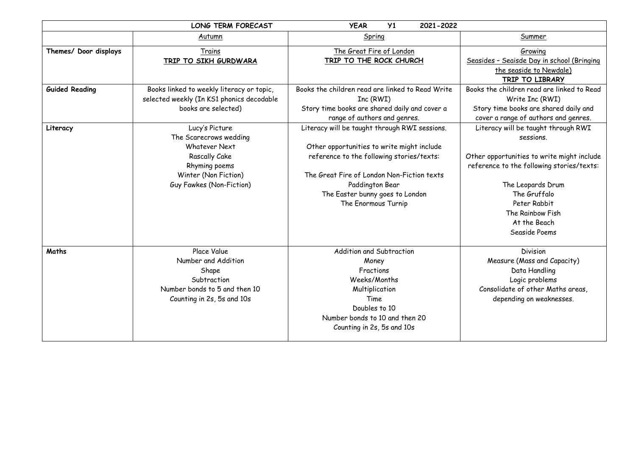|                       | <b>LONG TERM FORECAST</b>                                                                                                                       | Y1<br><b>YEAR</b><br>2021-2022                                                                                                                                                                                                                                      |                                                                                                                                                                                                                                                       |
|-----------------------|-------------------------------------------------------------------------------------------------------------------------------------------------|---------------------------------------------------------------------------------------------------------------------------------------------------------------------------------------------------------------------------------------------------------------------|-------------------------------------------------------------------------------------------------------------------------------------------------------------------------------------------------------------------------------------------------------|
|                       | Autumn                                                                                                                                          | Spring                                                                                                                                                                                                                                                              | Summer                                                                                                                                                                                                                                                |
| Themes/ Door displays | Trains<br>TRIP TO SIKH GURDWARA                                                                                                                 | The Great Fire of London<br>TRIP TO THE ROCK CHURCH                                                                                                                                                                                                                 | Growing<br>Seasides - Seaisde Day in school (Bringing<br>the seaside to Newdale)<br>TRIP TO LIBRARY                                                                                                                                                   |
| <b>Guided Reading</b> | Books linked to weekly literacy or topic,<br>selected weekly (In KS1 phonics decodable<br>books are selected)                                   | Books the children read are linked to Read Write<br>Inc (RWI)<br>Story time books are shared daily and cover a<br>range of authors and genres.                                                                                                                      | Books the children read are linked to Read<br>Write Inc (RWI)<br>Story time books are shared daily and<br>cover a range of authors and genres.                                                                                                        |
| Literacy              | Lucy's Picture<br>The Scarecrows wedding<br>Whatever Next<br>Rascally Cake<br>Rhyming poems<br>Winter (Non Fiction)<br>Guy Fawkes (Non-Fiction) | Literacy will be taught through RWI sessions.<br>Other opportunities to write might include<br>reference to the following stories/texts:<br>The Great Fire of London Non-Fiction texts<br>Paddington Bear<br>The Easter bunny goes to London<br>The Enormous Turnip | Literacy will be taught through RWI<br>sessions.<br>Other opportunities to write might include<br>reference to the following stories/texts:<br>The Leopards Drum<br>The Gruffalo<br>Peter Rabbit<br>The Rainbow Fish<br>At the Beach<br>Seaside Poems |
| Maths                 | Place Value<br>Number and Addition<br>Shape<br>Subtraction<br>Number bonds to 5 and then 10<br>Counting in 2s, 5s and 10s                       | Addition and Subtraction<br>Money<br>Fractions<br>Weeks/Months<br>Multiplication<br>Time<br>Doubles to 10<br>Number bonds to 10 and then 20<br>Counting in 2s, 5s and 10s                                                                                           | Division<br>Measure (Mass and Capacity)<br>Data Handling<br>Logic problems<br>Consolidate of other Maths areas,<br>depending on weaknesses.                                                                                                           |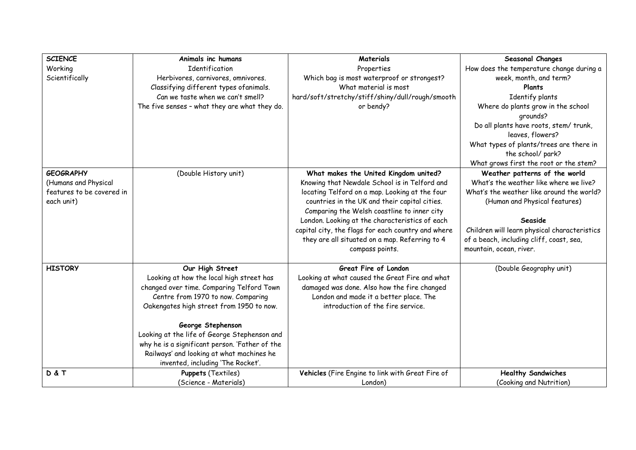| <b>SCIENCE</b>            | Animals inc humans                                                                    | Materials                                          | Seasonal Changes                             |
|---------------------------|---------------------------------------------------------------------------------------|----------------------------------------------------|----------------------------------------------|
| Working                   | Identification                                                                        | Properties                                         | How does the temperature change during a     |
| Scientifically            | Herbivores, carnivores, omnivores.                                                    | Which bag is most waterproof or strongest?         | week, month, and term?                       |
|                           | Classifying different types ofanimals.                                                | What material is most                              | Plants                                       |
|                           | Can we taste when we can't smell?                                                     | hard/soft/stretchy/stiff/shiny/dull/rough/smooth   | Identify plants                              |
|                           | The five senses - what they are what they do.                                         | or bendy?                                          | Where do plants grow in the school           |
|                           |                                                                                       |                                                    | qrounds?                                     |
|                           |                                                                                       |                                                    | Do all plants have roots, stem/ trunk,       |
|                           |                                                                                       |                                                    | leaves, flowers?                             |
|                           |                                                                                       |                                                    | What types of plants/trees are there in      |
|                           |                                                                                       |                                                    | the school/ park?                            |
|                           |                                                                                       |                                                    | What grows first the root or the stem?       |
| <b>GEOGRAPHY</b>          | (Double History unit)                                                                 | What makes the United Kingdom united?              | Weather patterns of the world                |
| (Humans and Physical      |                                                                                       | Knowing that Newdale School is in Telford and      | What's the weather like where we live?       |
| features to be covered in |                                                                                       | locating Telford on a map. Looking at the four     | What's the weather like around the world?    |
| each unit)                |                                                                                       | countries in the UK and their capital cities.      | (Human and Physical features)                |
|                           |                                                                                       | Comparing the Welsh coastline to inner city        |                                              |
|                           |                                                                                       | London. Looking at the characteristics of each     | Seaside                                      |
|                           |                                                                                       | capital city, the flags for each country and where | Children will learn physical characteristics |
|                           |                                                                                       | they are all situated on a map. Referring to 4     | of a beach, including cliff, coast, sea,     |
|                           |                                                                                       | compass points.                                    | mountain, ocean, river.                      |
| <b>HISTORY</b>            |                                                                                       | Great Fire of London                               |                                              |
|                           | Our High Street                                                                       | Looking at what caused the Great Fire and what     | (Double Geography unit)                      |
|                           | Looking at how the local high street has<br>changed over time. Comparing Telford Town | damaged was done. Also how the fire changed        |                                              |
|                           | Centre from 1970 to now. Comparing                                                    | London and made it a better place. The             |                                              |
|                           | Oakengates high street from 1950 to now.                                              | introduction of the fire service.                  |                                              |
|                           |                                                                                       |                                                    |                                              |
|                           | George Stephenson                                                                     |                                                    |                                              |
|                           | Looking at the life of George Stephenson and                                          |                                                    |                                              |
|                           | why he is a significant person. 'Father of the                                        |                                                    |                                              |
|                           | Railways' and looking at what machines he                                             |                                                    |                                              |
|                           | invented, including 'The Rocket'.                                                     |                                                    |                                              |
| D&T                       | <b>Puppets (Textiles)</b>                                                             | Vehicles (Fire Engine to link with Great Fire of   | <b>Healthy Sandwiches</b>                    |
|                           | (Science - Materials)                                                                 | London)                                            | (Cooking and Nutrition)                      |